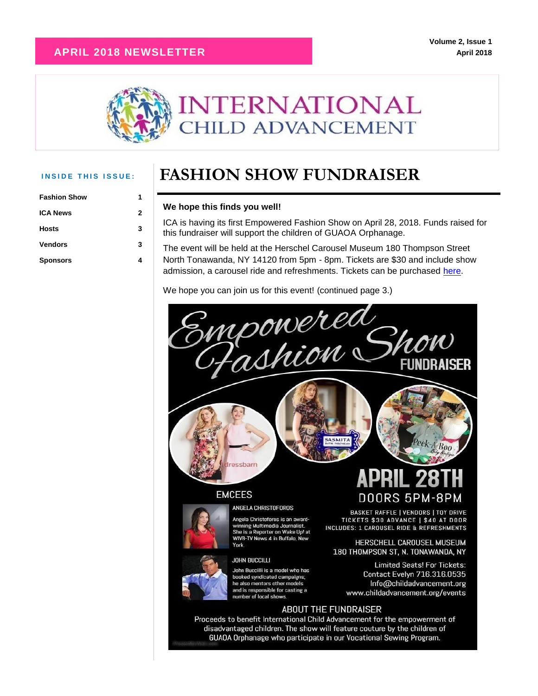### **APRIL 2018 NEWSLETTER**



| <b>Fashion Show</b> |   |
|---------------------|---|
| <b>ICA News</b>     | 2 |
| <b>Hosts</b>        | 3 |
| <b>Vendors</b>      | 3 |
| <b>Sponsors</b>     | 4 |

## **INSIDE THIS ISSUE:** FASHION SHOW FUNDRAISER

### **We hope this finds you well!**

ICA is having its first Empowered Fashion Show on April 28, 2018. Funds raised for this fundraiser will support the children of GUAOA Orphanage.

The event will be held at the Herschel Carousel Museum 180 Thompson Street North Tonawanda, NY 14120 from 5pm - 8pm. Tickets are \$30 and include show admission, a carousel ride and refreshments. Tickets can be purchased [here.](https://www.eventbrite.com/e/empowered-fashion-show-fundraiser-tickets-43821575512)

We hope you can join us for this event! (continued page 3.)



GUAOA Orphanage who participate in our Vocational Sewing Program.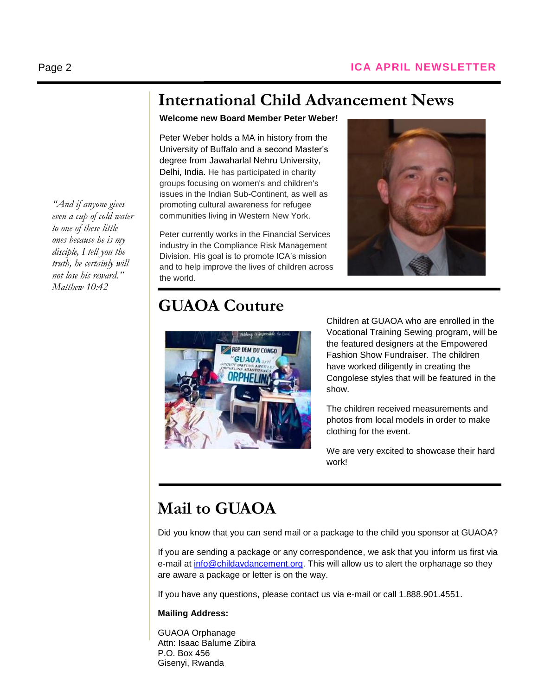*"And if anyone gives even a cup of cold water to one of these little ones because he is my disciple, I tell you the truth, he certainly will not lose his reward." Matthew 10:42*

# **International Child Advancement News**

### **Welcome new Board Member Peter Weber!**

Peter Weber holds a MA in history from the University of Buffalo and a second Master's degree from Jawaharlal Nehru University, Delhi, India. He has participated in charity groups focusing on women's and children's issues in the Indian Sub-Continent, as well as promoting cultural awareness for refugee communities living in Western New York.

Peter currently works in the Financial Services industry in the Compliance Risk Management Division. His goal is to promote ICA's mission and to help improve the lives of children across the world.

### **GUAOA Couture**



Children at GUAOA who are enrolled in the Vocational Training Sewing program, will be the featured designers at the Empowered Fashion Show Fundraiser. The children have worked diligently in creating the Congolese styles that will be featured in the show.

**Evelyn Kessler**

The children received measurements and photos from local models in order to make clothing for the event.

We are very excited to showcase their hard work!

## **Mail to GUAOA**

Did you know that you can send mail or a package to the child you sponsor at GUAOA?

If you are sending a package or any correspondence, we ask that you inform us first via e-mail at [info@childavdancement.org.](mailto:info@childavdancement.org) This will allow us to alert the orphanage so they are aware a package or letter is on the way.

If you have any questions, please contact us via e-mail or call 1.888.901.4551.

### **Mailing Address:**

GUAOA Orphanage Attn: Isaac Balume Zibira P.O. Box 456 Gisenyi, Rwanda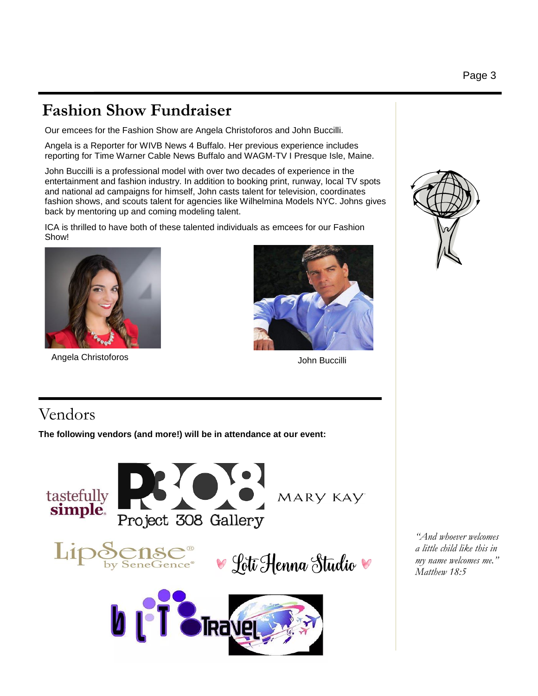# **Fashion Show Fundraiser**

Our emcees for the Fashion Show are Angela Christoforos and John Buccilli.

Angela is a Reporter for WIVB News 4 Buffalo. Her previous experience includes reporting for Time Warner Cable News Buffalo and WAGM-TV I Presque Isle, Maine.

John Buccilli is a professional model with over two decades of experience in the entertainment and fashion industry. In addition to booking print, runway, local TV spots and national ad campaigns for himself, John casts talent for television, coordinates fashion shows, and scouts talent for agencies like Wilhelmina Models NYC. Johns gives back by mentoring up and coming modeling talent.

ICA is thrilled to have both of these talented individuals as emcees for our Fashion Show!



Angela Christoforos



John Buccilli

# Vendors

**The following vendors (and more!) will be in attendance at our event:**